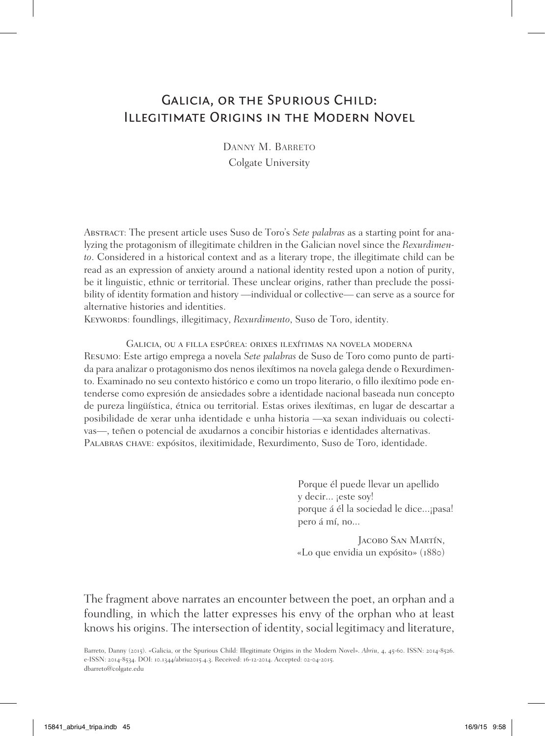# Galicia, or the Spurious Child: Illegitimate Origins in the Modern Novel

Danny M. Barreto Colgate University

Abstract: The present article uses Suso de Toro's *Sete palabras* as a starting point for analyzing the protagonism of illegitimate children in the Galician novel since the *Rexurdimento*. Considered in a historical context and as a literary trope, the illegitimate child can be read as an expression of anxiety around a national identity rested upon a notion of purity, be it linguistic, ethnic or territorial. These unclear origins, rather than preclude the possibility of identity formation and history —individual or collective— can serve as a source for alternative histories and identities.

KEYWORDS: foundlings, illegitimacy, *Rexurdimento*, Suso de Toro, identity.

Galicia, ou a filla espúrea: orixes ilexítimas na novela moderna

Resumo: Este artigo emprega a novela *Sete palabras* de Suso de Toro como punto de partida para analizar o protagonismo dos nenos ilexítimos na novela galega dende o Rexurdimento. Examinado no seu contexto histórico e como un tropo literario, o fillo ilexítimo pode entenderse como expresión de ansiedades sobre a identidade nacional baseada nun concepto de pureza lingüística, étnica ou territorial. Estas orixes ilexítimas, en lugar de descartar a posibilidade de xerar unha identidade e unha historia —xa sexan individuais ou colectivas—, teñen o potencial de axudarnos a concibir historias e identidades alternativas. Palabras chave: expósitos, ilexitimidade, Rexurdimento, Suso de Toro, identidade.

> Porque él puede llevar un apellido y decir... ¡este soy! porque á él la sociedad le dice...¡pasa! pero á mí, no...

Jacobo San Martín, «Lo que envidia un expósito» (1880)

The fragment above narrates an encounter between the poet, an orphan and a foundling, in which the latter expresses his envy of the orphan who at least knows his origins. The intersection of identity, social legitimacy and literature,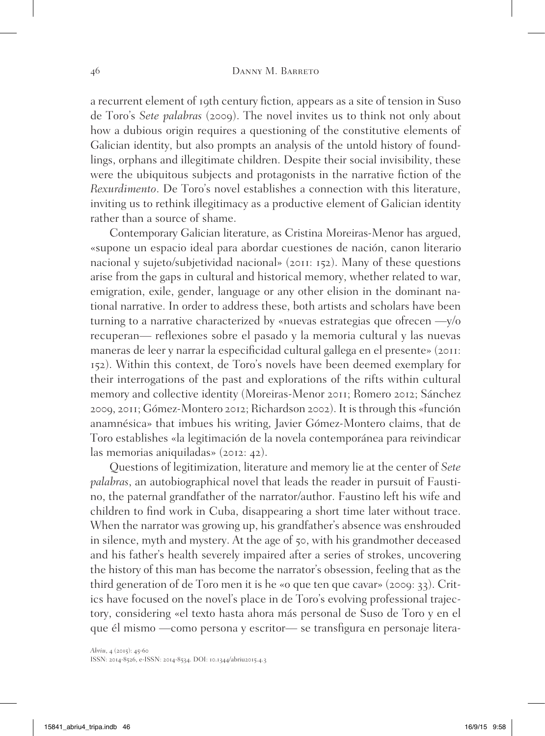a recurrent element of 19th century fiction*,* appears as a site of tension in Suso de Toro's *Sete palabras* (2009). The novel invites us to think not only about how a dubious origin requires a questioning of the constitutive elements of Galician identity, but also prompts an analysis of the untold history of foundlings, orphans and illegitimate children. Despite their social invisibility, these were the ubiquitous subjects and protagonists in the narrative fiction of the *Rexurdimento*. De Toro's novel establishes a connection with this literature, inviting us to rethink illegitimacy as a productive element of Galician identity rather than a source of shame.

Contemporary Galician literature, as Cristina Moreiras-Menor has argued, «supone un espacio ideal para abordar cuestiones de nación, canon literario nacional y sujeto/subjetividad nacional» (2011: 152). Many of these questions arise from the gaps in cultural and historical memory, whether related to war, emigration, exile, gender, language or any other elision in the dominant national narrative. In order to address these, both artists and scholars have been turning to a narrative characterized by «nuevas estrategias que ofrecen —y/o recuperan— reflexiones sobre el pasado y la memoria cultural y las nuevas maneras de leer y narrar la especificidad cultural gallega en el presente» (2011: 152). Within this context, de Toro's novels have been deemed exemplary for their interrogations of the past and explorations of the rifts within cultural memory and collective identity (Moreiras-Menor 2011; Romero 2012; Sánchez 2009, 2011; Gómez-Montero 2012; Richardson 2002). It is through this «función anamnésica» that imbues his writing, Javier Gómez-Montero claims, that de Toro establishes «la legitimación de la novela contemporánea para reivindicar las memorias aniquiladas» (2012: 42).

Questions of legitimization, literature and memory lie at the center of *Sete palabras*, an autobiographical novel that leads the reader in pursuit of Faustino, the paternal grandfather of the narrator/author. Faustino left his wife and children to find work in Cuba, disappearing a short time later without trace. When the narrator was growing up, his grandfather's absence was enshrouded in silence, myth and mystery. At the age of 50, with his grandmother deceased and his father's health severely impaired after a series of strokes, uncovering the history of this man has become the narrator's obsession, feeling that as the third generation of de Toro men it is he «o que ten que cavar» (2009: 33). Critics have focused on the novel's place in de Toro's evolving professional trajectory, considering «el texto hasta ahora más personal de Suso de Toro y en el que él mismo —como persona y escritor— se transfigura en personaje litera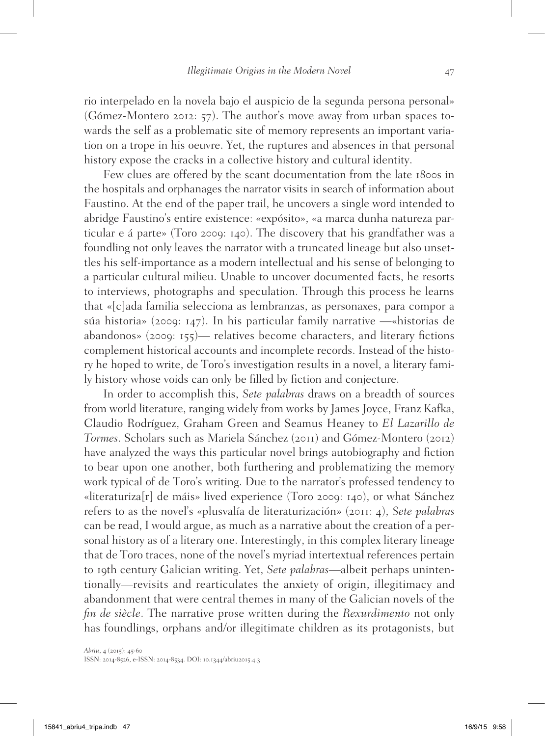rio interpelado en la novela bajo el auspicio de la segunda persona personal» (Gómez-Montero 2012: 57). The author's move away from urban spaces towards the self as a problematic site of memory represents an important variation on a trope in his oeuvre. Yet, the ruptures and absences in that personal history expose the cracks in a collective history and cultural identity.

Few clues are offered by the scant documentation from the late 1800s in the hospitals and orphanages the narrator visits in search of information about Faustino. At the end of the paper trail, he uncovers a single word intended to abridge Faustino's entire existence: «expósito», «a marca dunha natureza particular e á parte» (Toro 2009: 140). The discovery that his grandfather was a foundling not only leaves the narrator with a truncated lineage but also unsettles his self-importance as a modern intellectual and his sense of belonging to a particular cultural milieu. Unable to uncover documented facts, he resorts to interviews, photographs and speculation. Through this process he learns that «[c]ada familia selecciona as lembranzas, as personaxes, para compor a súa historia» (2009: 147). In his particular family narrative —«historias de abandonos» (2009: 155)— relatives become characters, and literary fictions complement historical accounts and incomplete records. Instead of the history he hoped to write, de Toro's investigation results in a novel, a literary family history whose voids can only be filled by fiction and conjecture.

In order to accomplish this, *Sete palabras* draws on a breadth of sources from world literature, ranging widely from works by James Joyce, Franz Kafka, Claudio Rodríguez, Graham Green and Seamus Heaney to *El Lazarillo de Tormes*. Scholars such as Mariela Sánchez (2011) and Gómez-Montero (2012) have analyzed the ways this particular novel brings autobiography and fiction to bear upon one another, both furthering and problematizing the memory work typical of de Toro's writing. Due to the narrator's professed tendency to «literaturiza[r] de máis» lived experience (Toro 2009: 140), or what Sánchez refers to as the novel's «plusvalía de literaturización» (2011: 4), *Sete palabras* can be read, I would argue, as much as a narrative about the creation of a personal history as of a literary one. Interestingly, in this complex literary lineage that de Toro traces, none of the novel's myriad intertextual references pertain to 19th century Galician writing. Yet, *Sete palabras*—albeit perhaps unintentionally—revisits and rearticulates the anxiety of origin, illegitimacy and abandonment that were central themes in many of the Galician novels of the *fin de siècle*. The narrative prose written during the *Rexurdimento* not only has foundlings, orphans and/or illegitimate children as its protagonists, but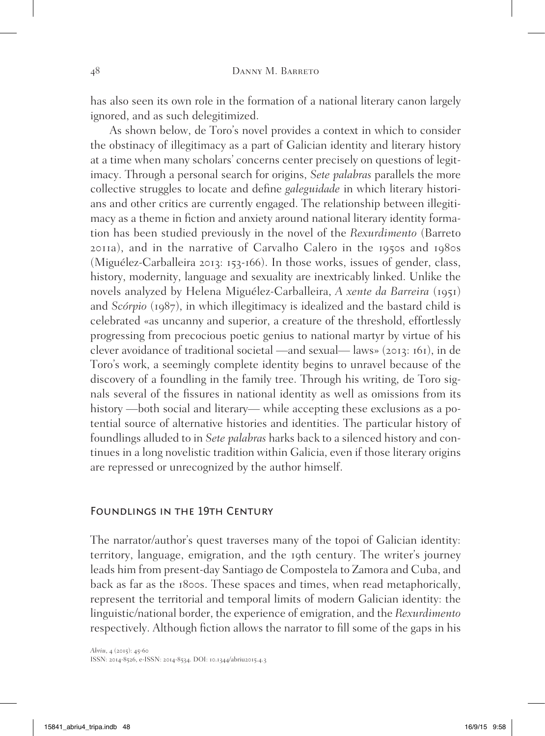has also seen its own role in the formation of a national literary canon largely ignored, and as such delegitimized.

As shown below, de Toro's novel provides a context in which to consider the obstinacy of illegitimacy as a part of Galician identity and literary history at a time when many scholars' concerns center precisely on questions of legitimacy. Through a personal search for origins, *Sete palabras* parallels the more collective struggles to locate and define *galeguidade* in which literary historians and other critics are currently engaged. The relationship between illegitimacy as a theme in fiction and anxiety around national literary identity formation has been studied previously in the novel of the *Rexurdimento* (Barreto 2011a), and in the narrative of Carvalho Calero in the 1950s and 1980s (Miguélez-Carballeira 2013: 153-166). In those works, issues of gender, class, history, modernity, language and sexuality are inextricably linked. Unlike the novels analyzed by Helena Miguélez-Carballeira, *A xente da Barreira* (1951) and *Scórpio* (1987), in which illegitimacy is idealized and the bastard child is celebrated «as uncanny and superior, a creature of the threshold, effortlessly progressing from precocious poetic genius to national martyr by virtue of his clever avoidance of traditional societal —and sexual— laws» (2013: 161), in de Toro's work, a seemingly complete identity begins to unravel because of the discovery of a foundling in the family tree. Through his writing, de Toro signals several of the fissures in national identity as well as omissions from its history —both social and literary— while accepting these exclusions as a potential source of alternative histories and identities. The particular history of foundlings alluded to in *Sete palabras* harks back to a silenced history and continues in a long novelistic tradition within Galicia, even if those literary origins are repressed or unrecognized by the author himself.

#### FOUNDLINGS IN THE 19TH CENTURY

The narrator/author's quest traverses many of the topoi of Galician identity: territory, language, emigration, and the 19th century. The writer's journey leads him from present-day Santiago de Compostela to Zamora and Cuba, and back as far as the 1800s. These spaces and times, when read metaphorically, represent the territorial and temporal limits of modern Galician identity: the linguistic/national border, the experience of emigration, and the *Rexurdimento* respectively. Although fiction allows the narrator to fill some of the gaps in his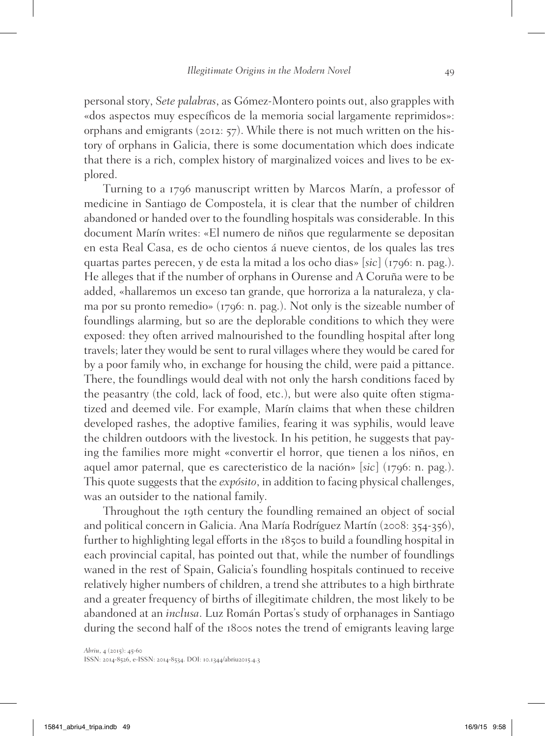personal story, *Sete palabras*, as Gómez-Montero points out, also grapples with «dos aspectos muy específicos de la memoria social largamente reprimidos»: orphans and emigrants (2012: 57). While there is not much written on the history of orphans in Galicia, there is some documentation which does indicate that there is a rich, complex history of marginalized voices and lives to be explored.

Turning to a 1796 manuscript written by Marcos Marín, a professor of medicine in Santiago de Compostela, it is clear that the number of children abandoned or handed over to the foundling hospitals was considerable. In this document Marín writes: «El numero de niños que regularmente se depositan en esta Real Casa, es de ocho cientos á nueve cientos, de los quales las tres quartas partes perecen, y de esta la mitad a los ocho dias» [*sic*] (1796: n. pag.). He alleges that if the number of orphans in Ourense and A Coruña were to be added, «hallaremos un exceso tan grande, que horroriza a la naturaleza, y clama por su pronto remedio» (1796: n. pag.). Not only is the sizeable number of foundlings alarming, but so are the deplorable conditions to which they were exposed: they often arrived malnourished to the foundling hospital after long travels; later they would be sent to rural villages where they would be cared for by a poor family who, in exchange for housing the child, were paid a pittance. There, the foundlings would deal with not only the harsh conditions faced by the peasantry (the cold, lack of food, etc.), but were also quite often stigmatized and deemed vile. For example, Marín claims that when these children developed rashes, the adoptive families, fearing it was syphilis, would leave the children outdoors with the livestock. In his petition, he suggests that paying the families more might «convertir el horror, que tienen a los niños, en aquel amor paternal, que es carecteristico de la nación» [*sic*] (1796: n. pag.). This quote suggests that the *expósito*, in addition to facing physical challenges, was an outsider to the national family.

Throughout the 19th century the foundling remained an object of social and political concern in Galicia. Ana María Rodríguez Martín (2008: 354-356), further to highlighting legal efforts in the 1850s to build a foundling hospital in each provincial capital, has pointed out that, while the number of foundlings waned in the rest of Spain, Galicia's foundling hospitals continued to receive relatively higher numbers of children, a trend she attributes to a high birthrate and a greater frequency of births of illegitimate children, the most likely to be abandoned at an *inclusa*. Luz Román Portas's study of orphanages in Santiago during the second half of the 1800s notes the trend of emigrants leaving large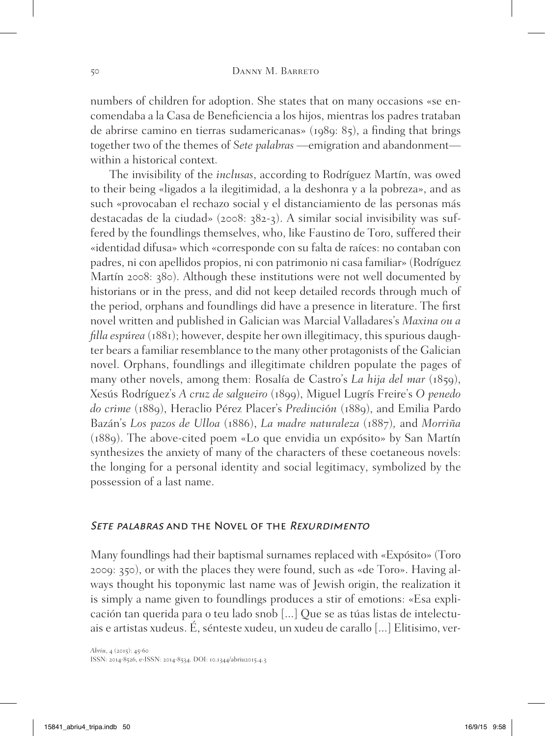numbers of children for adoption. She states that on many occasions «se encomendaba a la Casa de Beneficiencia a los hijos, mientras los padres trataban de abrirse camino en tierras sudamericanas» (1989: 85), a finding that brings together two of the themes of *Sete palabras* —emigration and abandonment within a historical context*.*

The invisibility of the *inclusas*, according to Rodríguez Martín, was owed to their being «ligados a la ilegitimidad, a la deshonra y a la pobreza», and as such «provocaban el rechazo social y el distanciamiento de las personas más destacadas de la ciudad» (2008: 382-3). A similar social invisibility was suffered by the foundlings themselves, who, like Faustino de Toro, suffered their «identidad difusa» which «corresponde con su falta de raíces: no contaban con padres, ni con apellidos propios, ni con patrimonio ni casa familiar» (Rodríguez Martín 2008: 380). Although these institutions were not well documented by historians or in the press, and did not keep detailed records through much of the period, orphans and foundlings did have a presence in literature. The first novel written and published in Galician was Marcial Valladares's *Maxina ou a filla espúrea* (1881); however, despite her own illegitimacy, this spurious daughter bears a familiar resemblance to the many other protagonists of the Galician novel. Orphans, foundlings and illegitimate children populate the pages of many other novels, among them: Rosalía de Castro's *La hija del mar* (1859), Xesús Rodríguez's *A cruz de salgueiro* (1899), Miguel Lugrís Freire's *O penedo do crime* (1889), Heraclio Pérez Placer's *Prediuci*ó*n* (1889), and Emilia Pardo Bazán's *Los pazos de Ulloa* (1886), *La madre naturaleza* (1887)*,* and *Morriña* (1889). The above-cited poem «Lo que envidia un expósito» by San Martín synthesizes the anxiety of many of the characters of these coetaneous novels: the longing for a personal identity and social legitimacy, symbolized by the possession of a last name.

## SETE PALABRAS AND THE NOVEL OF THE REXURDIMENTO

Many foundlings had their baptismal surnames replaced with «Expósito» (Toro 2009: 350), or with the places they were found, such as «de Toro». Having always thought his toponymic last name was of Jewish origin, the realization it is simply a name given to foundlings produces a stir of emotions: «Esa explicación tan querida para o teu lado snob [...] Que se as túas listas de intelectuais e artistas xudeus. É, sénteste xudeu, un xudeu de carallo [...] Elitisimo, ver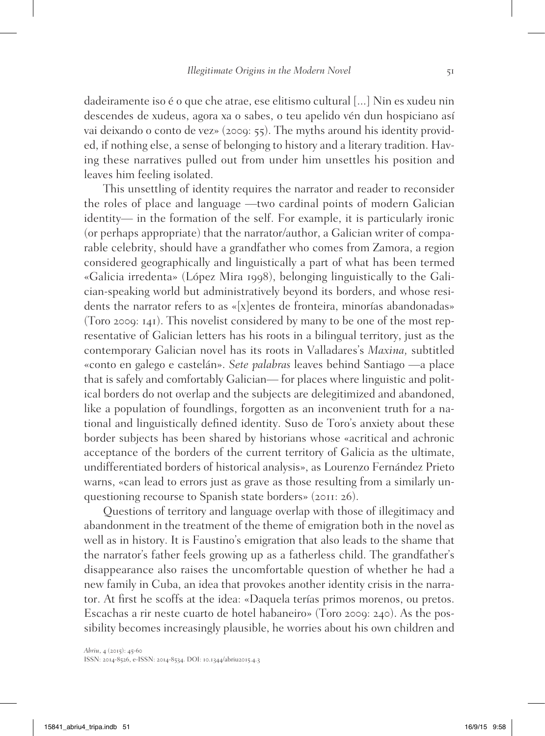dadeiramente iso é o que che atrae, ese elitismo cultural [...] Nin es xudeu nin descendes de xudeus, agora xa o sabes, o teu apelido vén dun hospiciano así vai deixando o conto de vez» (2009: 55). The myths around his identity provided, if nothing else, a sense of belonging to history and a literary tradition. Having these narratives pulled out from under him unsettles his position and leaves him feeling isolated.

This unsettling of identity requires the narrator and reader to reconsider the roles of place and language —two cardinal points of modern Galician identity— in the formation of the self. For example, it is particularly ironic (or perhaps appropriate) that the narrator/author, a Galician writer of comparable celebrity, should have a grandfather who comes from Zamora, a region considered geographically and linguistically a part of what has been termed «Galicia irredenta» (López Mira 1998), belonging linguistically to the Galician-speaking world but administratively beyond its borders, and whose residents the narrator refers to as «[x]entes de fronteira, minorías abandonadas» (Toro 2009: 141). This novelist considered by many to be one of the most representative of Galician letters has his roots in a bilingual territory, just as the contemporary Galician novel has its roots in Valladares's *Maxina,* subtitled «conto en galego e castelán». *Sete palabras* leaves behind Santiago —a place that is safely and comfortably Galician— for places where linguistic and political borders do not overlap and the subjects are delegitimized and abandoned, like a population of foundlings, forgotten as an inconvenient truth for a national and linguistically defined identity. Suso de Toro's anxiety about these border subjects has been shared by historians whose «acritical and achronic acceptance of the borders of the current territory of Galicia as the ultimate, undifferentiated borders of historical analysis», as Lourenzo Fernández Prieto warns, «can lead to errors just as grave as those resulting from a similarly unquestioning recourse to Spanish state borders» (2011: 26).

Questions of territory and language overlap with those of illegitimacy and abandonment in the treatment of the theme of emigration both in the novel as well as in history. It is Faustino's emigration that also leads to the shame that the narrator's father feels growing up as a fatherless child. The grandfather's disappearance also raises the uncomfortable question of whether he had a new family in Cuba, an idea that provokes another identity crisis in the narrator. At first he scoffs at the idea: «Daquela terías primos morenos, ou pretos. Escachas a rir neste cuarto de hotel habaneiro» (Toro 2009: 240). As the possibility becomes increasingly plausible, he worries about his own children and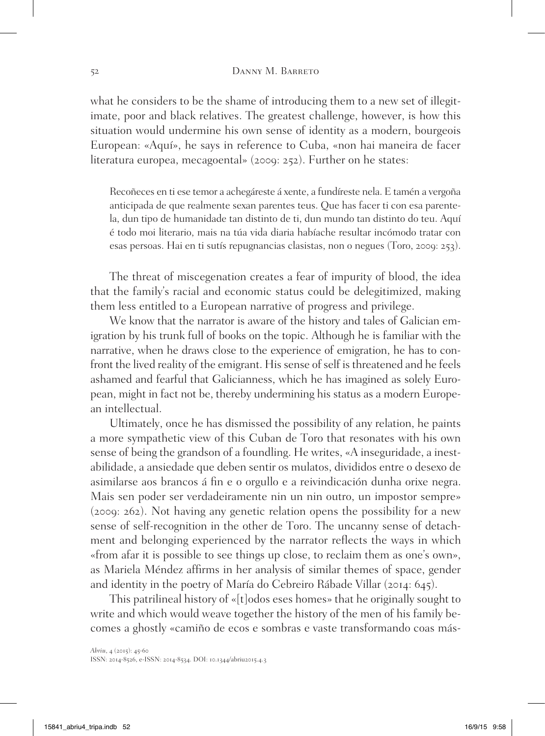what he considers to be the shame of introducing them to a new set of illegitimate, poor and black relatives. The greatest challenge, however, is how this situation would undermine his own sense of identity as a modern, bourgeois European: «Aquí», he says in reference to Cuba, «non hai maneira de facer literatura europea, mecagoental» (2009: 252). Further on he states:

Recoñeces en ti ese temor a achegáreste á xente, a fundíreste nela. E tamén a vergoña anticipada de que realmente sexan parentes teus. Que has facer ti con esa parentela, dun tipo de humanidade tan distinto de ti, dun mundo tan distinto do teu. Aquí é todo moi literario, mais na túa vida diaria habíache resultar incómodo tratar con esas persoas. Hai en ti sutís repugnancias clasistas, non o negues (Toro, 2009: 253).

The threat of miscegenation creates a fear of impurity of blood, the idea that the family's racial and economic status could be delegitimized, making them less entitled to a European narrative of progress and privilege.

We know that the narrator is aware of the history and tales of Galician emigration by his trunk full of books on the topic. Although he is familiar with the narrative, when he draws close to the experience of emigration, he has to confront the lived reality of the emigrant. His sense of self is threatened and he feels ashamed and fearful that Galicianness, which he has imagined as solely European, might in fact not be, thereby undermining his status as a modern European intellectual.

Ultimately, once he has dismissed the possibility of any relation, he paints a more sympathetic view of this Cuban de Toro that resonates with his own sense of being the grandson of a foundling. He writes, «A inseguridade, a inestabilidade, a ansiedade que deben sentir os mulatos, divididos entre o desexo de asimilarse aos brancos á fin e o orgullo e a reivindicación dunha orixe negra. Mais sen poder ser verdadeiramente nin un nin outro, un impostor sempre» (2009: 262). Not having any genetic relation opens the possibility for a new sense of self-recognition in the other de Toro. The uncanny sense of detachment and belonging experienced by the narrator reflects the ways in which «from afar it is possible to see things up close, to reclaim them as one's own», as Mariela Méndez affirms in her analysis of similar themes of space, gender and identity in the poetry of María do Cebreiro Rábade Villar (2014: 645).

This patrilineal history of «[t]odos eses homes» that he originally sought to write and which would weave together the history of the men of his family becomes a ghostly «camiño de ecos e sombras e vaste transformando coas más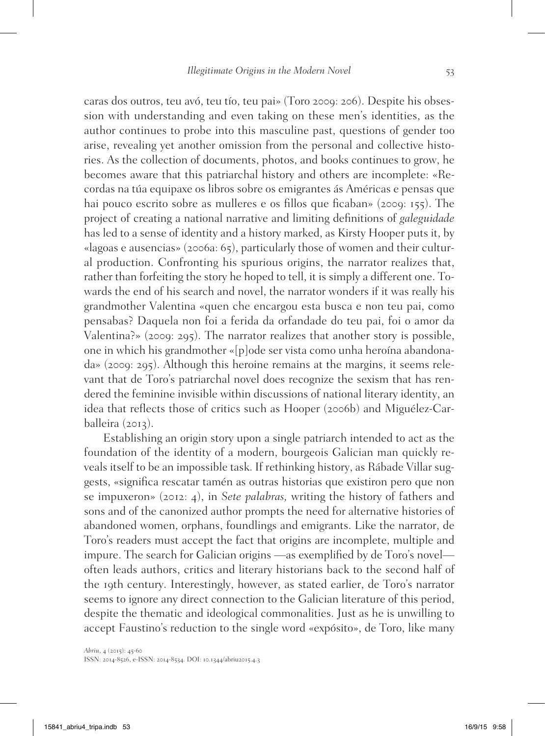caras dos outros, teu avó, teu tío, teu pai» (Toro 2009: 206). Despite his obsession with understanding and even taking on these men's identities, as the author continues to probe into this masculine past, questions of gender too arise, revealing yet another omission from the personal and collective histories. As the collection of documents, photos, and books continues to grow, he becomes aware that this patriarchal history and others are incomplete: «Recordas na túa equipaxe os libros sobre os emigrantes ás Américas e pensas que hai pouco escrito sobre as mulleres e os fillos que ficaban» (2009: 155). The project of creating a national narrative and limiting definitions of *galeguidade* has led to a sense of identity and a history marked, as Kirsty Hooper puts it, by «lagoas e ausencias» (2006a: 65), particularly those of women and their cultural production. Confronting his spurious origins, the narrator realizes that, rather than forfeiting the story he hoped to tell, it is simply a different one. Towards the end of his search and novel, the narrator wonders if it was really his grandmother Valentina «quen che encargou esta busca e non teu pai, como pensabas? Daquela non foi a ferida da orfandade do teu pai, foi o amor da Valentina?» (2009: 295). The narrator realizes that another story is possible, one in which his grandmother «[p]ode ser vista como unha heroína abandonada» (2009: 295). Although this heroine remains at the margins, it seems relevant that de Toro's patriarchal novel does recognize the sexism that has rendered the feminine invisible within discussions of national literary identity, an idea that reflects those of critics such as Hooper (2006b) and Miguélez-Carballeira (2013).

Establishing an origin story upon a single patriarch intended to act as the foundation of the identity of a modern, bourgeois Galician man quickly reveals itself to be an impossible task. If rethinking history, as Rábade Villar suggests, «significa rescatar tamén as outras historias que existiron pero que non se impuxeron» (2012: 4), in *Sete palabras,* writing the history of fathers and sons and of the canonized author prompts the need for alternative histories of abandoned women, orphans, foundlings and emigrants. Like the narrator, de Toro's readers must accept the fact that origins are incomplete, multiple and impure. The search for Galician origins —as exemplified by de Toro's novel often leads authors, critics and literary historians back to the second half of the 19th century. Interestingly, however, as stated earlier, de Toro's narrator seems to ignore any direct connection to the Galician literature of this period, despite the thematic and ideological commonalities. Just as he is unwilling to accept Faustino's reduction to the single word «expósito», de Toro, like many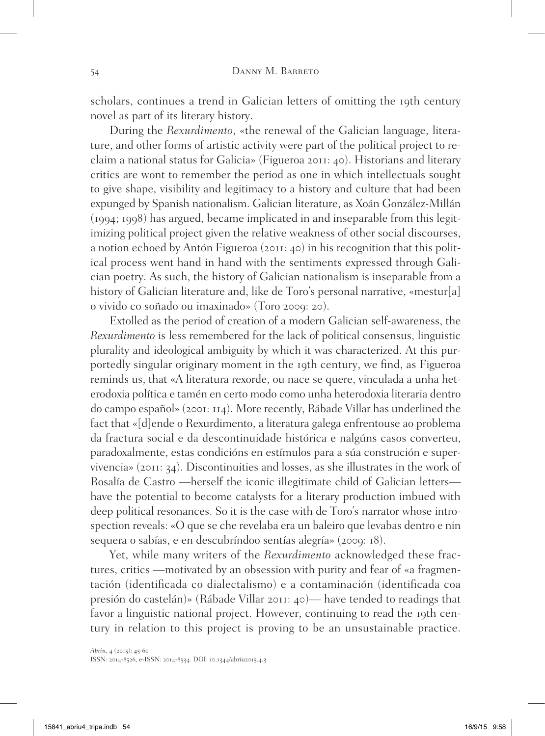scholars, continues a trend in Galician letters of omitting the 19th century novel as part of its literary history.

During the *Rexurdimento*, «the renewal of the Galician language, literature, and other forms of artistic activity were part of the political project to reclaim a national status for Galicia» (Figueroa 2011: 40). Historians and literary critics are wont to remember the period as one in which intellectuals sought to give shape, visibility and legitimacy to a history and culture that had been expunged by Spanish nationalism. Galician literature, as Xoán González-Millán (1994; 1998) has argued, became implicated in and inseparable from this legitimizing political project given the relative weakness of other social discourses, a notion echoed by Antón Figueroa (2011: 40) in his recognition that this political process went hand in hand with the sentiments expressed through Galician poetry. As such, the history of Galician nationalism is inseparable from a history of Galician literature and, like de Toro's personal narrative, «mestur[a] o vivido co soñado ou imaxinado» (Toro 2009: 20).

Extolled as the period of creation of a modern Galician self-awareness, the *Rexurdimento* is less remembered for the lack of political consensus, linguistic plurality and ideological ambiguity by which it was characterized. At this purportedly singular originary moment in the 19th century, we find, as Figueroa reminds us, that «A literatura rexorde, ou nace se quere, vinculada a unha heterodoxia política e tamén en certo modo como unha heterodoxia literaria dentro do campo español» (2001: 114). More recently, Rábade Villar has underlined the fact that «[d]ende o Rexurdimento, a literatura galega enfrentouse ao problema da fractura social e da descontinuidade histórica e nalgúns casos converteu, paradoxalmente, estas condicións en estímulos para a súa construción e supervivencia» (2011: 34). Discontinuities and losses, as she illustrates in the work of Rosalía de Castro —herself the iconic illegitimate child of Galician letters have the potential to become catalysts for a literary production imbued with deep political resonances. So it is the case with de Toro's narrator whose introspection reveals: «O que se che revelaba era un baleiro que levabas dentro e nin sequera o sabías, e en descubríndoo sentías alegría» (2009: 18).

Yet, while many writers of the *Rexurdimento* acknowledged these fractures, critics —motivated by an obsession with purity and fear of «a fragmentación (identificada co dialectalismo) e a contaminación (identificada coa presión do castelán)» (Rábade Villar 2011: 40)— have tended to readings that favor a linguistic national project. However, continuing to read the 19th century in relation to this project is proving to be an unsustainable practice.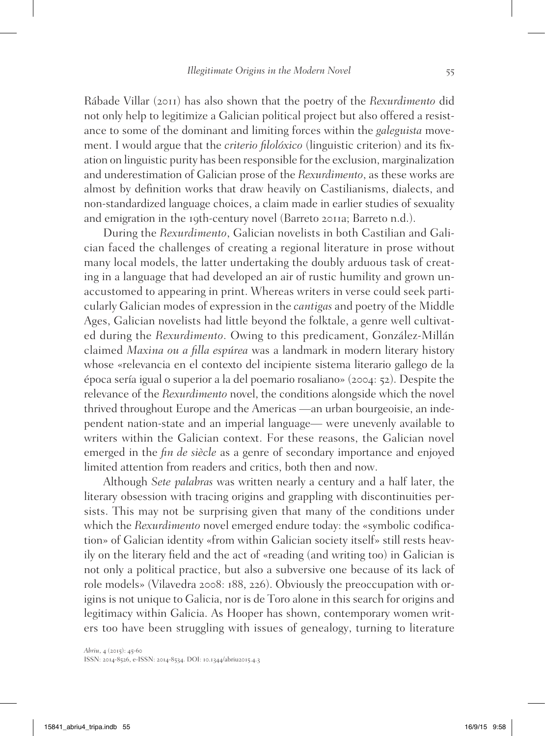Rábade Villar (2011) has also shown that the poetry of the *Rexurdimento* did not only help to legitimize a Galician political project but also offered a resistance to some of the dominant and limiting forces within the *galeguista* movement. I would argue that the *criterio filolóxico* (linguistic criterion) and its fixation on linguistic purity has been responsible for the exclusion, marginalization and underestimation of Galician prose of the *Rexurdimento*, as these works are almost by definition works that draw heavily on Castilianisms, dialects, and non-standardized language choices, a claim made in earlier studies of sexuality and emigration in the 19th-century novel (Barreto 2011a; Barreto n.d.).

During the *Rexurdimento*, Galician novelists in both Castilian and Galician faced the challenges of creating a regional literature in prose without many local models, the latter undertaking the doubly arduous task of creating in a language that had developed an air of rustic humility and grown unaccustomed to appearing in print. Whereas writers in verse could seek particularly Galician modes of expression in the *cantigas* and poetry of the Middle Ages, Galician novelists had little beyond the folktale, a genre well cultivated during the *Rexurdimento*. Owing to this predicament, González-Millán claimed *Maxina ou a filla espúrea* was a landmark in modern literary history whose «relevancia en el contexto del incipiente sistema literario gallego de la época sería igual o superior a la del poemario rosaliano» (2004: 52). Despite the relevance of the *Rexurdimento* novel, the conditions alongside which the novel thrived throughout Europe and the Americas —an urban bourgeoisie, an independent nation-state and an imperial language— were unevenly available to writers within the Galician context. For these reasons, the Galician novel emerged in the *fin de siècle* as a genre of secondary importance and enjoyed limited attention from readers and critics, both then and now.

Although *Sete palabras* was written nearly a century and a half later, the literary obsession with tracing origins and grappling with discontinuities persists. This may not be surprising given that many of the conditions under which the *Rexurdimento* novel emerged endure today: the «symbolic codification» of Galician identity «from within Galician society itself» still rests heavily on the literary field and the act of «reading (and writing too) in Galician is not only a political practice, but also a subversive one because of its lack of role models» (Vilavedra 2008: 188, 226). Obviously the preoccupation with origins is not unique to Galicia, nor is de Toro alone in this search for origins and legitimacy within Galicia. As Hooper has shown, contemporary women writers too have been struggling with issues of genealogy, turning to literature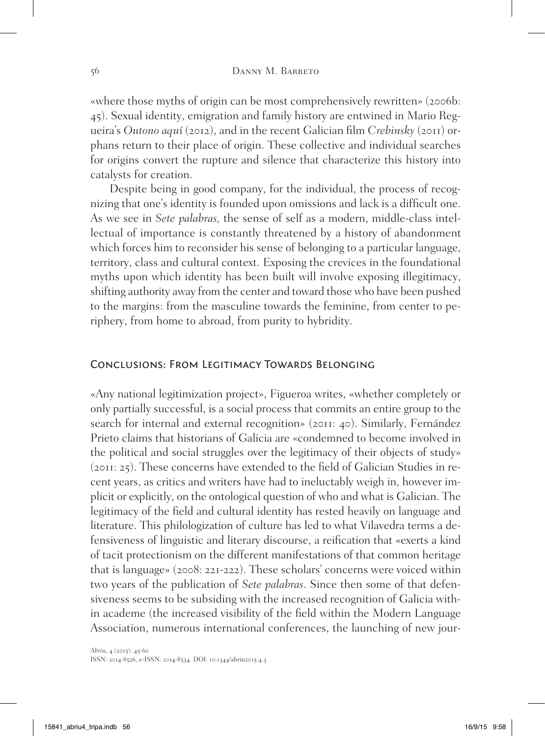«where those myths of origin can be most comprehensively rewritten» (2006b: 45). Sexual identity, emigration and family history are entwined in Mario Regueira's *Outono aqu*í (2012), and in the recent Galician film *Crebinsky* (2011) orphans return to their place of origin. These collective and individual searches for origins convert the rupture and silence that characterize this history into catalysts for creation.

Despite being in good company, for the individual, the process of recognizing that one's identity is founded upon omissions and lack is a difficult one. As we see in *Sete palabras,* the sense of self as a modern, middle-class intellectual of importance is constantly threatened by a history of abandonment which forces him to reconsider his sense of belonging to a particular language, territory, class and cultural context. Exposing the crevices in the foundational myths upon which identity has been built will involve exposing illegitimacy, shifting authority away from the center and toward those who have been pushed to the margins: from the masculine towards the feminine, from center to periphery, from home to abroad, from purity to hybridity.

## Conclusions: From Legitimacy Towards Belonging

«Any national legitimization project», Figueroa writes, «whether completely or only partially successful, is a social process that commits an entire group to the search for internal and external recognition» (2011: 40). Similarly, Fernández Prieto claims that historians of Galicia are «condemned to become involved in the political and social struggles over the legitimacy of their objects of study» (2011: 25). These concerns have extended to the field of Galician Studies in recent years, as critics and writers have had to ineluctably weigh in, however implicit or explicitly, on the ontological question of who and what is Galician. The legitimacy of the field and cultural identity has rested heavily on language and literature. This philologization of culture has led to what Vilavedra terms a defensiveness of linguistic and literary discourse, a reification that «exerts a kind of tacit protectionism on the different manifestations of that common heritage that is language» (2008: 221-222). These scholars' concerns were voiced within two years of the publication of *Sete palabras*. Since then some of that defensiveness seems to be subsiding with the increased recognition of Galicia within academe (the increased visibility of the field within the Modern Language Association, numerous international conferences, the launching of new jour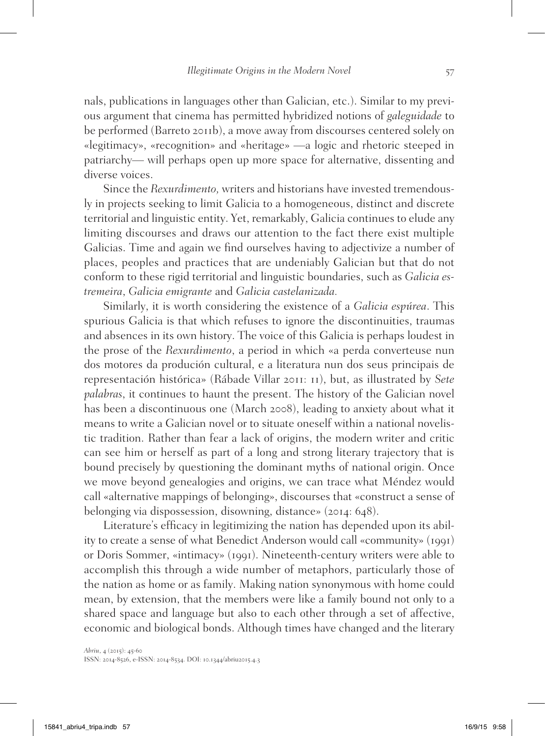nals, publications in languages other than Galician, etc.). Similar to my previous argument that cinema has permitted hybridized notions of *galeguidade* to be performed (Barreto 2011b), a move away from discourses centered solely on «legitimacy», «recognition» and «heritage» —a logic and rhetoric steeped in patriarchy— will perhaps open up more space for alternative, dissenting and diverse voices.

Since the *Rexurdimento,* writers and historians have invested tremendously in projects seeking to limit Galicia to a homogeneous, distinct and discrete territorial and linguistic entity. Yet, remarkably, Galicia continues to elude any limiting discourses and draws our attention to the fact there exist multiple Galicias. Time and again we find ourselves having to adjectivize a number of places, peoples and practices that are undeniably Galician but that do not conform to these rigid territorial and linguistic boundaries, such as *Galicia estremeira*, *Galicia emigrante* and *Galicia castelanizada.*

Similarly, it is worth considering the existence of a *Galicia espúrea*. This spurious Galicia is that which refuses to ignore the discontinuities, traumas and absences in its own history. The voice of this Galicia is perhaps loudest in the prose of the *Rexurdimento*, a period in which «a perda converteuse nun dos motores da produción cultural, e a literatura nun dos seus principais de representación histórica» (Rábade Villar 2011: 11), but, as illustrated by *Sete palabras*, it continues to haunt the present. The history of the Galician novel has been a discontinuous one (March 2008), leading to anxiety about what it means to write a Galician novel or to situate oneself within a national novelistic tradition. Rather than fear a lack of origins, the modern writer and critic can see him or herself as part of a long and strong literary trajectory that is bound precisely by questioning the dominant myths of national origin. Once we move beyond genealogies and origins, we can trace what Méndez would call «alternative mappings of belonging», discourses that «construct a sense of belonging via dispossession, disowning, distance» (2014: 648).

Literature's efficacy in legitimizing the nation has depended upon its ability to create a sense of what Benedict Anderson would call «community» (1991) or Doris Sommer, «intimacy» (1991). Nineteenth-century writers were able to accomplish this through a wide number of metaphors, particularly those of the nation as home or as family. Making nation synonymous with home could mean, by extension, that the members were like a family bound not only to a shared space and language but also to each other through a set of affective, economic and biological bonds. Although times have changed and the literary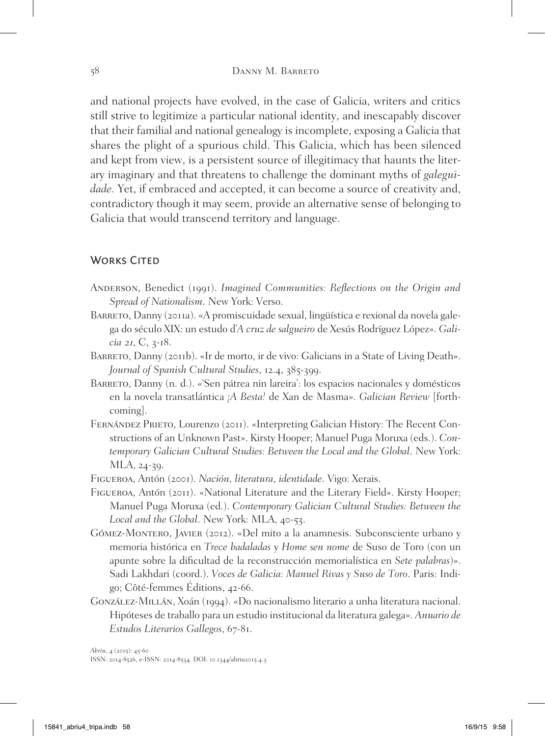and national projects have evolved, in the case of Galicia, writers and critics still strive to legitimize a particular national identity, and inescapably discover that their familial and national genealogy is incomplete, exposing a Galicia that shares the plight of a spurious child. This Galicia, which has been silenced and kept from view, is a persistent source of illegitimacy that haunts the literary imaginary and that threatens to challenge the dominant myths of *galeguidade.* Yet, if embraced and accepted, it can become a source of creativity and, contradictory though it may seem, provide an alternative sense of belonging to Galicia that would transcend territory and language.

## WORKS CITED

- Anderson, Benedict (1991). *Imagined Communities: Reflections on the Origin and Spread of Nationalism*. New York: Verso.
- BARRETO, Danny (2011a). «A promiscuidade sexual, lingüística e rexional da novela galega do século XIX: un estudo d'*A cruz de salgueiro* de Xesús Rodríguez López». *Galicia* 21, C, 3-18.
- BARRETO, Danny (2011b). «Ir de morto, ir de vivo: Galicians in a State of Living Death». *Journal of Spanish Cultural Studies*, 12.4, 385-399.
- BARRETO, Danny (n. d.). «'Sen pátrea nin lareira': los espacios nacionales y domésticos en la novela transatlántica *¡A Besta!* de Xan de Masma». *Galician Review* [forthcoming].
- Fernández Prieto, Lourenzo (2011). «Interpreting Galician History: The Recent Constructions of an Unknown Past». Kirsty Hooper; Manuel Puga Moruxa (eds.). *Contemporary Galician Cultural Studies: Between the Local and the Global*. New York: MLA, 24-39.

Figueroa, Antón (2001). *Nación, literatura, identidade*. Vigo: Xerais.

- Figueroa, Antón (2011). «National Literature and the Literary Field». Kirsty Hooper; Manuel Puga Moruxa (ed.). *Contemporary Galician Cultural Studies: Between the Local and the Global*. New York: MLA, 40-53.
- Gómez-Montero, Javier (2012). «Del mito a la anamnesis. Subconsciente urbano y memoria histórica en *Trece badaladas* y *Home sen nome* de Suso de Toro (con un apunte sobre la dificultad de la reconstrucción memorialística en *Sete palabras*)». Sadi Lakhdari (coord.). *Voces de Galicia: Manuel Rivas y Suso de Toro*. Paris: Indigo; Côté-femmes Éditions, 42-66.
- González-Millán, Xoán (1994). «Do nacionalismo literario a unha literatura nacional. Hipóteses de traballo para un estudio institucional da literatura galega». *Anuario de Estudos Literarios Gallegos*, 67-81.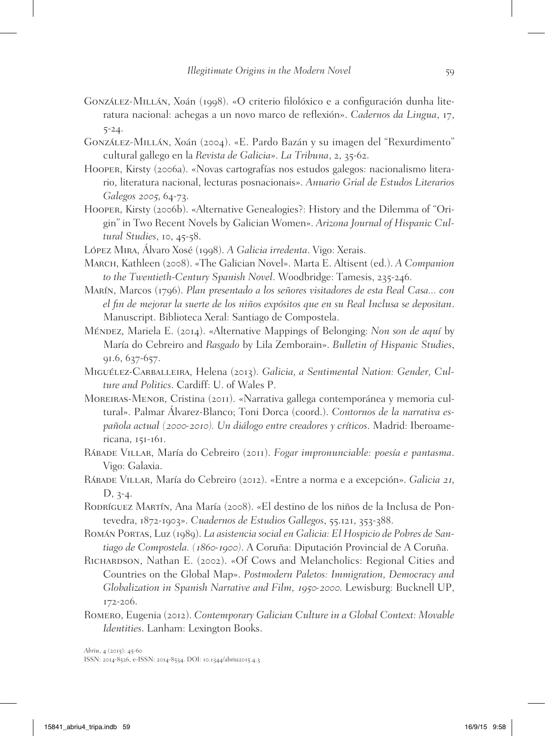- González-Millán, Xoán (1998). «O criterio filolóxico e a configuración dunha literatura nacional: achegas a un novo marco de reflexión». *Cadernos da Lingua*, 17, 5-24.
- González-Millán, Xoán (2004). «E. Pardo Bazán y su imagen del "Rexurdimento" cultural gallego en la *Revista de Galicia*». *La Tribuna*, 2, 35-62.
- Hooper, Kirsty (2006a). «Novas cartografías nos estudos galegos: nacionalismo literario, literatura nacional, lecturas posnacionais». *Anuario Grial de Estudos Literarios Galegos* 2005, 64-73.
- Hooper, Kirsty (2006b). «Alternative Genealogies?: History and the Dilemma of "Origin" in Two Recent Novels by Galician Women». *Arizona Journal of Hispanic Cultural Studies*, 10, 45-58.
- López Mira, Álvaro Xosé (1998). *A Galicia irredenta*. Vigo: Xerais.
- March, Kathleen (2008). «The Galician Novel». Marta E. Altisent (ed.). *A Companion to the Twentieth-Century Spanish Novel*. Woodbridge: Tamesis, 235-246.
- Marín, Marcos (1796). *Plan presentado a los señores visitadores de esta Real Casa... con el fin de mejorar la suerte de los niños expósitos que en su Real Inclusa se depositan*. Manuscript. Biblioteca Xeral: Santiago de Compostela.
- Méndez, Mariela E. (2014). «Alternative Mappings of Belonging: *Non son de aquí* by María do Cebreiro and *Rasgado* by Lila Zemborain». *Bulletin of Hispanic Studies*, 91.6, 637-657.
- Miguélez-Carballeira, Helena (2013). *Galicia, a Sentimental Nation: Gender, Culture and Politics*. Cardiff: U. of Wales P.
- Moreiras-Menor, Cristina (2011). «Narrativa gallega contemporánea y memoria cultural». Palmar Álvarez-Blanco; Toni Dorca (coord.). *Contornos de la narrativa española actual (*2000*-*2010*). Un diálogo entre creadores y críticos*. Madrid: Iberoamericana, 151-161.
- Rábade Villar, María do Cebreiro (2011). *Fogar impronunciable: poesía e pantasma*. Vigo: Galaxia.
- Rábade Villar, María do Cebreiro (2012). «Entre a norma e a excepción». *Galicia* 21, D, 3-4.
- RODRÍGUEZ MARTÍN, Ana María (2008). «El destino de los niños de la Inclusa de Pontevedra, 1872-1903». *Cuadernos de Estudios Gallegos*, 55.121, 353-388.
- Román Portas, Luz (1989). *La asistencia social en Galicia: El Hospicio de Pobres de Santiago de Compostela. (*1860*-*1900*)*. A Coruña: Diputación Provincial de A Coruña.
- Richardson, Nathan E. (2002). «Of Cows and Melancholics: Regional Cities and Countries on the Global Map». *Postmodern Paletos: Immigration, Democracy and Globalization in Spanish Narrative and Film,* 1950*-*2000. Lewisburg: Bucknell UP, 172-206.
- Romero, Eugenia (2012). *Contemporary Galician Culture in a Global Context: Movable Identities*. Lanham: Lexington Books.